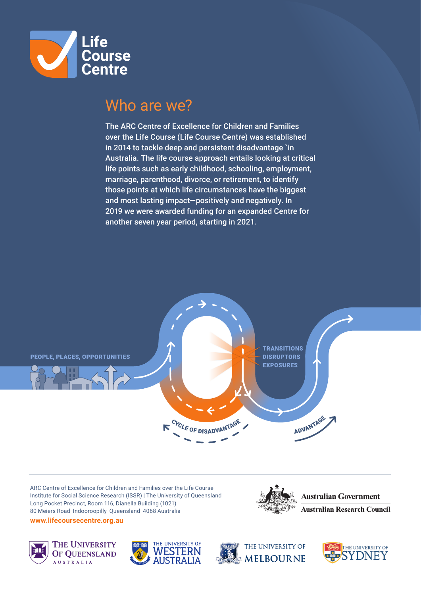

### Who are we?

The ARC Centre of Excellence for Children and Families over the Life Course (Life Course Centre) was established in 2014 to tackle deep and persistent disadvantage `in Australia. The life course approach entails looking at critical life points such as early childhood, schooling, employment, marriage, parenthood, divorce, or retirement, to identify those points at which life circumstances have the biggest and most lasting impact—positively and negatively. In 2019 we were awarded funding for an expanded Centre for another seven year period, starting in 2021.



ARC Centre of Excellence for Children and Families over the Life Course Institute for Social Science Research (ISSR) | The University of Queensland Long Pocket Precinct, Room 116, Dianella Building (1021) 80 Meiers Road Indooroopilly Queensland 4068 Australia **www.lifecoursecentre.org.au**









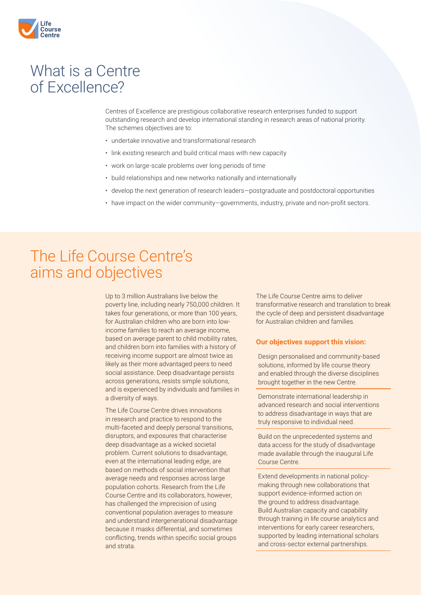

## What is a Centre of Excellence?

Centres of Excellence are prestigious collaborative research enterprises funded to support outstanding research and develop international standing in research areas of national priority. The schemes objectives are to:

- undertake innovative and transformational research
- link existing research and build critical mass with new capacity
- work on large-scale problems over long periods of time
- build relationships and new networks nationally and internationally
- develop the next generation of research leaders—postgraduate and postdoctoral opportunities
- have impact on the wider community—governments, industry, private and non-profit sectors.

# The Life Course Centre's aims and objectives

Up to 3 million Australians live below the poverty line, including nearly 750,000 children. It takes four generations, or more than 100 years, for Australian children who are born into lowincome families to reach an average income, based on average parent to child mobility rates, and children born into families with a history of receiving income support are almost twice as likely as their more advantaged peers to need social assistance. Deep disadvantage persists across generations, resists simple solutions, and is experienced by individuals and families in a diversity of ways.

The Life Course Centre drives innovations in research and practice to respond to the multi-faceted and deeply personal transitions, disruptors, and exposures that characterise deep disadvantage as a wicked societal problem. Current solutions to disadvantage, even at the international leading edge, are based on methods of social intervention that average needs and responses across large population cohorts. Research from the Life Course Centre and its collaborators, however, has challenged the imprecision of using conventional population averages to measure and understand intergenerational disadvantage because it masks differential, and sometimes conflicting, trends within specific social groups and strata.

The Life Course Centre aims to deliver transformative research and translation to break the cycle of deep and persistent disadvantage for Australian children and families.

#### **Our objectives support this vision:**

Design personalised and community-based solutions, informed by life course theory and enabled through the diverse disciplines brought together in the new Centre.

Demonstrate international leadership in advanced research and social interventions to address disadvantage in ways that are truly responsive to individual need.

Build on the unprecedented systems and data access for the study of disadvantage made available through the inaugural Life Course Centre.

Extend developments in national policymaking through new collaborations that support evidence-informed action on the ground to address disadvantage. Build Australian capacity and capability through training in life course analytics and interventions for early career researchers, supported by leading international scholars and cross-sector external partnerships.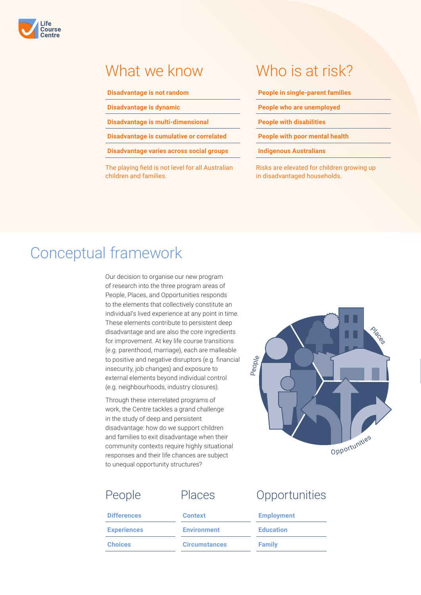

#### What we know

#### **Disadvantage is not random**

**Disadvantage is dynamic**

**Disadvantage is multi-dimensional**

**Disadvantage is cumulative or correlated**

**Disadvantage varies across social groups**

The playing field is not level for all Australian children and families.

# Who is at risk?

**People in single-parent families**

**People who are unemployed**

**People with disabilities**

**People with poor mental health**

**Indigenous Australians**

Risks are elevated for children growing up in disadvantaged households.

## Conceptual framework

Our decision to organise our new program of research into the three program areas of People, Places, and Opportunities responds to the elements that collectively constitute an individual's lived experience at any point in time. These elements contribute to persistent deep disadvantage and are also the core ingredients for improvement. At key life course transitions (e.g. parenthood, marriage), each are malleable to positive and negative disruptors (e.g. financial insecurity, job changes) and exposure to external elements beyond individual control (e.g. neighbourhoods, industry closures).

Through these interrelated programs of work, the Centre tackles a grand challenge in the study of deep and persistent disadvantage: how do we support children and families to exit disadvantage when their community contexts require highly situational responses and their life chances are subject to unequal opportunity structures?



| <b>Experiences</b> | <b>Environment</b> | <b>Education</b>  |
|--------------------|--------------------|-------------------|
| <b>Differences</b> | <b>Context</b>     | <b>Employment</b> |
| People             | <b>Places</b>      | Opportunities     |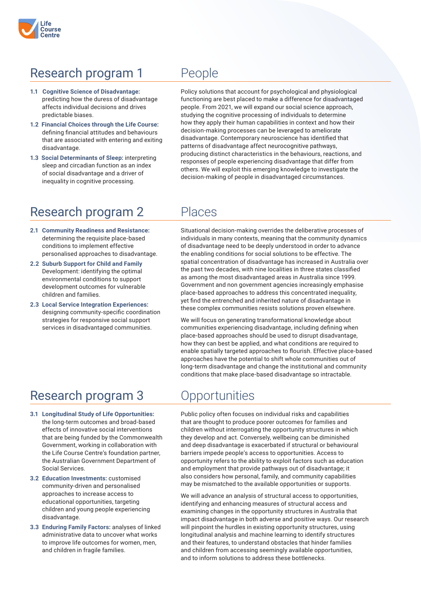## Research program 1 People

- **1.1 Cognitive Science of Disadvantage:**  predicting how the duress of disadvantage affects individual decisions and drives predictable biases.
- **1.2 Financial Choices through the Life Course:** defining financial attitudes and behaviours that are associated with entering and exiting disadvantage.
- **1.3 Social Determinants of Sleep:** interpreting sleep and circadian function as an index of social disadvantage and a driver of inequality in cognitive processing.

Policy solutions that account for psychological and physiological functioning are best placed to make a difference for disadvantaged people. From 2021, we will expand our social science approach, studying the cognitive processing of individuals to determine how they apply their human capabilities in context and how their decision-making processes can be leveraged to ameliorate disadvantage. Contemporary neuroscience has identified that patterns of disadvantage affect neurocognitive pathways, producing distinct characteristics in the behaviours, reactions, and responses of people experiencing disadvantage that differ from others. We will exploit this emerging knowledge to investigate the decision-making of people in disadvantaged circumstances.

### Research program 2 Places

- **2.1 Community Readiness and Resistance:**  determining the requisite place-based conditions to implement effective personalised approaches to disadvantage.
- **2.2 Suburb Support for Child and Family**  Development: identifying the optimal environmental conditions to support development outcomes for vulnerable children and families.
- **2.3 Local Service Integration Experiences:**  designing community-specific coordination strategies for responsive social support services in disadvantaged communities.

## Research program 3 Opportunities

- **3.1 Longitudinal Study of Life Opportunities:** the long-term outcomes and broad-based effects of innovative social interventions that are being funded by the Commonwealth Government, working in collaboration with the Life Course Centre's foundation partner, the Australian Government Department of Social Services.
- **3.2 Education Investments:** customised community-driven and personalised approaches to increase access to educational opportunities, targeting children and young people experiencing disadvantage.
- **3.3 Enduring Family Factors:** analyses of linked administrative data to uncover what works to improve life outcomes for women, men, and children in fragile families.

Situational decision-making overrides the deliberative processes of individuals in many contexts, meaning that the community dynamics of disadvantage need to be deeply understood in order to advance the enabling conditions for social solutions to be effective. The spatial concentration of disadvantage has increased in Australia over the past two decades, with nine localities in three states classified as among the most disadvantaged areas in Australia since 1999. Government and non government agencies increasingly emphasise place-based approaches to address this concentrated inequality, yet find the entrenched and inherited nature of disadvantage in these complex communities resists solutions proven elsewhere.

We will focus on generating transformational knowledge about communities experiencing disadvantage, including defining when place-based approaches should be used to disrupt disadvantage, how they can best be applied, and what conditions are required to enable spatially targeted approaches to flourish. Effective place-based approaches have the potential to shift whole communities out of long-term disadvantage and change the institutional and community conditions that make place-based disadvantage so intractable.

Public policy often focuses on individual risks and capabilities that are thought to produce poorer outcomes for families and children without interrogating the opportunity structures in which they develop and act. Conversely, wellbeing can be diminished and deep disadvantage is exacerbated if structural or behavioural barriers impede people's access to opportunities. Access to opportunity refers to the ability to exploit factors such as education and employment that provide pathways out of disadvantage; it also considers how personal, family, and community capabilities may be mismatched to the available opportunities or supports.

We will advance an analysis of structural access to opportunities, identifying and enhancing measures of structural access and examining changes in the opportunity structures in Australia that impact disadvantage in both adverse and positive ways. Our research will pinpoint the hurdles in existing opportunity structures, using longitudinal analysis and machine learning to identify structures and their features, to understand obstacles that hinder families and children from accessing seemingly available opportunities, and to inform solutions to address these bottlenecks.